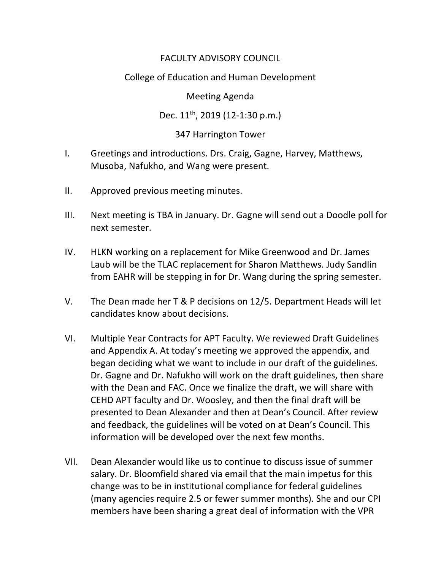## FACULTY ADVISORY COUNCIL

## College of Education and Human Development

Meeting Agenda

Dec. 11<sup>th</sup>, 2019 (12-1:30 p.m.)

## 347 Harrington Tower

- I. Greetings and introductions. Drs. Craig, Gagne, Harvey, Matthews, Musoba, Nafukho, and Wang were present.
- II. Approved previous meeting minutes.
- III. Next meeting is TBA in January. Dr. Gagne will send out a Doodle poll for next semester.
- IV. HLKN working on a replacement for Mike Greenwood and Dr. James Laub will be the TLAC replacement for Sharon Matthews. Judy Sandlin from EAHR will be stepping in for Dr. Wang during the spring semester.
- V. The Dean made her T & P decisions on 12/5. Department Heads will let candidates know about decisions.
- VI. Multiple Year Contracts for APT Faculty. We reviewed Draft Guidelines and Appendix A. At today's meeting we approved the appendix, and began deciding what we want to include in our draft of the guidelines. Dr. Gagne and Dr. Nafukho will work on the draft guidelines, then share with the Dean and FAC. Once we finalize the draft, we will share with CEHD APT faculty and Dr. Woosley, and then the final draft will be presented to Dean Alexander and then at Dean's Council. After review and feedback, the guidelines will be voted on at Dean's Council. This information will be developed over the next few months.
- VII. Dean Alexander would like us to continue to discuss issue of summer salary. Dr. Bloomfield shared via email that the main impetus for this change was to be in institutional compliance for federal guidelines (many agencies require 2.5 or fewer summer months). She and our CPI members have been sharing a great deal of information with the VPR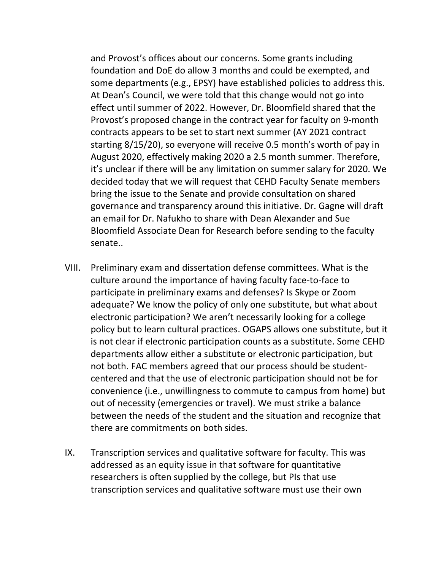and Provost's offices about our concerns. Some grants including foundation and DoE do allow 3 months and could be exempted, and some departments (e.g., EPSY) have established policies to address this. At Dean's Council, we were told that this change would not go into effect until summer of 2022. However, Dr. Bloomfield shared that the Provost's proposed change in the contract year for faculty on 9-month contracts appears to be set to start next summer (AY 2021 contract starting 8/15/20), so everyone will receive 0.5 month's worth of pay in August 2020, effectively making 2020 a 2.5 month summer. Therefore, it's unclear if there will be any limitation on summer salary for 2020. We decided today that we will request that CEHD Faculty Senate members bring the issue to the Senate and provide consultation on shared governance and transparency around this initiative. Dr. Gagne will draft an email for Dr. Nafukho to share with Dean Alexander and Sue Bloomfield Associate Dean for Research before sending to the faculty senate..

- VIII. Preliminary exam and dissertation defense committees. What is the culture around the importance of having faculty face-to-face to participate in preliminary exams and defenses? Is Skype or Zoom adequate? We know the policy of only one substitute, but what about electronic participation? We aren't necessarily looking for a college policy but to learn cultural practices. OGAPS allows one substitute, but it is not clear if electronic participation counts as a substitute. Some CEHD departments allow either a substitute or electronic participation, but not both. FAC members agreed that our process should be studentcentered and that the use of electronic participation should not be for convenience (i.e., unwillingness to commute to campus from home) but out of necessity (emergencies or travel). We must strike a balance between the needs of the student and the situation and recognize that there are commitments on both sides.
- IX. Transcription services and qualitative software for faculty. This was addressed as an equity issue in that software for quantitative researchers is often supplied by the college, but PIs that use transcription services and qualitative software must use their own